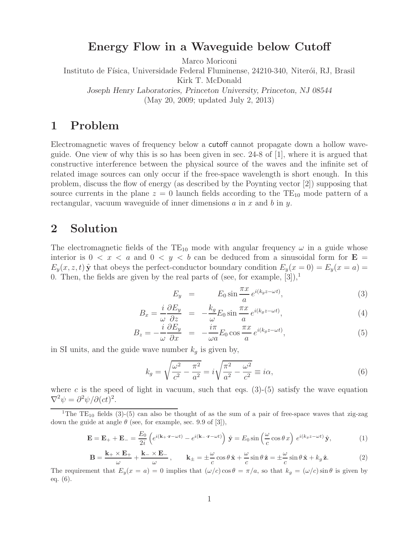### **Energy Flow in a Waveguide below Cutoff**

Marco Moriconi

Instituto de Física, Universidade Federal Fluminense, 24210-340, Niterói, RJ, Brasil Kirk T. McDonald

*Joseph Henry Laboratories, Princeton University, Princeton, NJ 08544* (May 20, 2009; updated July 2, 2013)

## **1 Problem**

Electromagnetic waves of frequency below a cutoff cannot propagate down a hollow waveguide. One view of why this is so has been given in sec. 24-8 of [1], where it is argued that constructive interference between the physical source of the waves and the infinite set of related image sources can only occur if the free-space wavelength is short enough. In this problem, discuss the flow of energy (as described by the Poynting vector [2]) supposing that source currents in the plane  $z = 0$  launch fields according to the TE<sub>10</sub> mode pattern of a rectangular, vacuum waveguide of inner dimensions  $a$  in  $x$  and  $b$  in  $y$ .

### **2 Solution**

The electromagnetic fields of the  $TE_{10}$  mode with angular frequency  $\omega$  in a guide whose interior is  $0 < x < a$  and  $0 < y < b$  can be deduced from a sinusoidal form for  $E =$  $E_y(x, z, t)$  **y** that obeys the perfect-conductor boundary condition  $E_y(x = 0) = E_y(x = a) = 0$ 0. Then, the fields are given by the real parts of (see, for example,  $[3]$ ),<sup>1</sup>

$$
E_y = E_0 \sin \frac{\pi x}{a} e^{i(k_g z - \omega t)}, \qquad (3)
$$

$$
B_x = \frac{i}{\omega} \frac{\partial E_y}{\partial z} = -\frac{k_g}{\omega} E_0 \sin \frac{\pi x}{a} e^{i(k_g z - \omega t)}, \tag{4}
$$

$$
B_z = -\frac{i}{\omega} \frac{\partial E_y}{\partial x} = -\frac{i\pi}{\omega a} E_0 \cos \frac{\pi x}{a} e^{i(k_g z - \omega t)}, \tag{5}
$$

in SI units, and the guide wave number  $k<sub>g</sub>$  is given by,

$$
k_g = \sqrt{\frac{\omega^2}{c^2} - \frac{\pi^2}{a^2}} = i\sqrt{\frac{\pi^2}{a^2} - \frac{\omega^2}{c^2}} \equiv i\alpha,\tag{6}
$$

where c is the speed of light in vacuum, such that eqs.  $(3)-(5)$  satisfy the wave equation  $\nabla^2 \psi = \frac{\partial^2 \psi}{\partial (ct)^2}.$ 

$$
\mathbf{E} = \mathbf{E}_{+} + \mathbf{E}_{-} = \frac{E_{0}}{2i} \left( e^{i(\mathbf{k}_{+} \cdot \mathbf{r} - \omega t)} - e^{i(\mathbf{k}_{-} \cdot \mathbf{r} - \omega t)} \right) \hat{\mathbf{y}} = E_{0} \sin \left( \frac{\omega}{c} \cos \theta \, x \right) e^{i(k_{g}z - \omega t)} \hat{\mathbf{y}},\tag{1}
$$

$$
\mathbf{B} = \frac{\mathbf{k}_{+} \times \mathbf{E}_{+}}{\omega} + \frac{\mathbf{k}_{-} \times \mathbf{E}_{-}}{\omega}, \qquad \mathbf{k}_{\pm} = \pm \frac{\omega}{c} \cos \theta \,\hat{\mathbf{x}} + \frac{\omega}{c} \sin \theta \,\hat{\mathbf{z}} = \pm \frac{\omega}{c} \sin \theta \,\hat{\mathbf{x}} + k_{g} \,\hat{\mathbf{z}}.
$$
 (2)

The requirement that  $E_y(x = a) = 0$  implies that  $(\omega/c) \cos \theta = \pi/a$ , so that  $k_g = (\omega/c) \sin \theta$  is given by eq. (6).

<sup>&</sup>lt;sup>1</sup>The TE<sub>10</sub> fields (3)-(5) can also be thought of as the sum of a pair of free-space waves that zig-zag down the guide at angle  $\theta$  (see, for example, sec. 9.9 of [3]),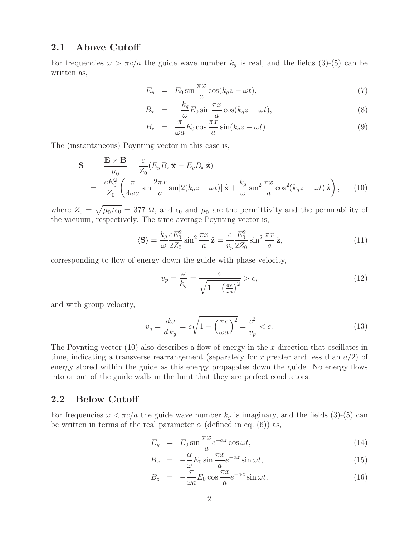#### **2.1 Above Cutoff**

For frequencies  $\omega > \pi c/a$  the guide wave number  $k_g$  is real, and the fields (3)-(5) can be written as,

$$
E_y = E_0 \sin \frac{\pi x}{a} \cos(k_g z - \omega t), \tag{7}
$$

$$
B_x = -\frac{k_g}{\omega} E_0 \sin \frac{\pi x}{a} \cos(k_g z - \omega t), \tag{8}
$$

$$
B_z = \frac{\pi}{\omega a} E_0 \cos \frac{\pi x}{a} \sin(k_g z - \omega t). \tag{9}
$$

The (instantaneous) Poynting vector in this case is,

$$
\mathbf{S} = \frac{\mathbf{E} \times \mathbf{B}}{\mu_0} = \frac{c}{Z_0} (E_y B_z \hat{\mathbf{x}} - E_y B_x \hat{\mathbf{z}})
$$
  
= 
$$
\frac{cE_0^2}{Z_0} \left( \frac{\pi}{4\omega a} \sin \frac{2\pi x}{a} \sin[2(k_g z - \omega t)] \hat{\mathbf{x}} + \frac{k_g}{\omega} \sin^2 \frac{\pi x}{a} \cos^2(k_g z - \omega t) \hat{\mathbf{z}} \right), \quad (10)
$$

where  $Z_0 = \sqrt{\mu_0/\epsilon_0} = 377 \Omega$ , and  $\epsilon_0$  and  $\mu_0$  are the permittivity and the permeability of the vacuum, respectively. The time-average Poynting vector is,

$$
\langle \mathbf{S} \rangle = \frac{k_g}{\omega} \frac{c E_0^2}{2Z_0} \sin^2 \frac{\pi x}{a} \hat{\mathbf{z}} = \frac{c}{v_p} \frac{E_0^2}{2Z_0} \sin^2 \frac{\pi x}{a} \hat{\mathbf{z}},\tag{11}
$$

corresponding to flow of energy down the guide with phase velocity,

$$
v_p = \frac{\omega}{k_g} = \frac{c}{\sqrt{1 - \left(\frac{\pi c}{\omega a}\right)^2}} > c,\tag{12}
$$

and with group velocity,

$$
v_g = \frac{d\omega}{d\,k_g} = c\sqrt{1 - \left(\frac{\pi c}{\omega a}\right)^2} = \frac{c^2}{v_p} < c. \tag{13}
$$

The Poynting vector  $(10)$  also describes a flow of energy in the x-direction that oscillates in time, indicating a transverse rearrangement (separately for x greater and less than  $a/2$ ) of energy stored within the guide as this energy propagates down the guide. No energy flows into or out of the guide walls in the limit that they are perfect conductors.

#### **2.2 Below Cutoff**

For frequencies  $\omega < \pi c/a$  the guide wave number  $k_g$  is imaginary, and the fields (3)-(5) can be written in terms of the real parameter  $\alpha$  (defined in eq. (6)) as,

$$
E_y = E_0 \sin \frac{\pi x}{a} e^{-\alpha z} \cos \omega t, \qquad (14)
$$

$$
B_x = -\frac{\alpha}{\omega} E_0 \sin \frac{\pi x}{a} e^{-\alpha z} \sin \omega t, \tag{15}
$$

$$
B_z = -\frac{\pi}{\omega a} E_0 \cos \frac{\pi x}{a} e^{-\alpha z} \sin \omega t.
$$
 (16)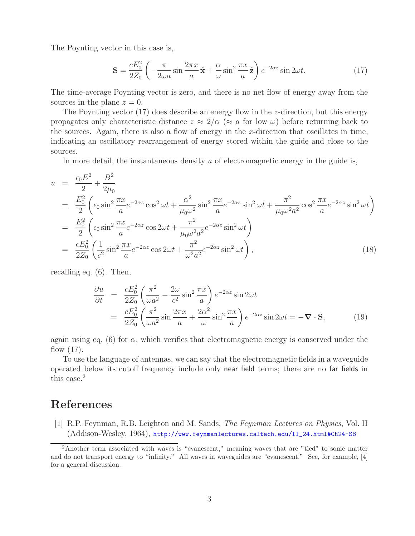The Poynting vector in this case is,

$$
\mathbf{S} = \frac{cE_0^2}{2Z_0} \left( -\frac{\pi}{2\omega a} \sin \frac{2\pi x}{a} \hat{\mathbf{x}} + \frac{\alpha}{\omega} \sin^2 \frac{\pi x}{a} \hat{\mathbf{z}} \right) e^{-2\alpha z} \sin 2\omega t.
$$
 (17)

The time-average Poynting vector is zero, and there is no net flow of energy away from the sources in the plane  $z = 0$ .

The Poynting vector  $(17)$  does describe an energy flow in the *z*-direction, but this energy propagates only characteristic distance  $z \approx 2/\alpha$  ( $\approx a$  for low  $\omega$ ) before returning back to the sources. Again, there is also a flow of energy in the x-direction that oscillates in time, indicating an oscillatory rearrangement of energy stored within the guide and close to the sources.

In more detail, the instantaneous density  $u$  of electromagnetic energy in the guide is,

$$
u = \frac{\epsilon_0 E^2}{2} + \frac{B^2}{2\mu_0}
$$
  
\n
$$
= \frac{E_0^2}{2} \left( \epsilon_0 \sin^2 \frac{\pi x}{a} e^{-2\alpha z} \cos^2 \omega t + \frac{\alpha^2}{\mu_0 \omega^2} \sin^2 \frac{\pi x}{a} e^{-2\alpha z} \sin^2 \omega t + \frac{\pi^2}{\mu_0 \omega^2 a^2} \cos^2 \frac{\pi x}{a} e^{-2\alpha z} \sin^2 \omega t \right)
$$
  
\n
$$
= \frac{E_0^2}{2} \left( \epsilon_0 \sin^2 \frac{\pi x}{a} e^{-2\alpha z} \cos 2\omega t + \frac{\pi^2}{\mu_0 \omega^2 a^2} e^{-2\alpha z} \sin^2 \omega t \right)
$$
  
\n
$$
= \frac{cE_0^2}{2Z_0} \left( \frac{1}{c^2} \sin^2 \frac{\pi x}{a} e^{-2\alpha z} \cos 2\omega t + \frac{\pi^2}{\omega^2 a^2} e^{-2\alpha z} \sin^2 \omega t \right),
$$
 (18)

recalling eq. (6). Then,

$$
\frac{\partial u}{\partial t} = \frac{cE_0^2}{2Z_0} \left( \frac{\pi^2}{\omega a^2} - \frac{2\omega}{c^2} \sin^2 \frac{\pi x}{a} \right) e^{-2\alpha z} \sin 2\omega t \n= \frac{cE_0^2}{2Z_0} \left( \frac{\pi^2}{\omega a^2} \sin \frac{2\pi x}{a} + \frac{2\alpha^2}{\omega} \sin^2 \frac{\pi x}{a} \right) e^{-2\alpha z} \sin 2\omega t = -\nabla \cdot \mathbf{S},
$$
\n(19)

again using eq. (6) for  $\alpha$ , which verifies that electromagnetic energy is conserved under the flow (17).

To use the language of antennas, we can say that the electromagnetic fields in a waveguide operated below its cutoff frequency include only near field terms; there are no far fields in this case.<sup>2</sup>

# **References**

[1] R.P. Feynman, R.B. Leighton and M. Sands, *The Feynman Lectures on Physics*, Vol. II (Addison-Wesley, 1964), http://www.feynmanlectures.caltech.edu/II\_24.html#Ch24-S8

<sup>2</sup>Another term associated with waves is "evanescent," meaning waves that are "tied" to some matter and do not transport energy to "infinity." All waves in waveguides are "evanescent." See, for example, [4] for a general discussion.